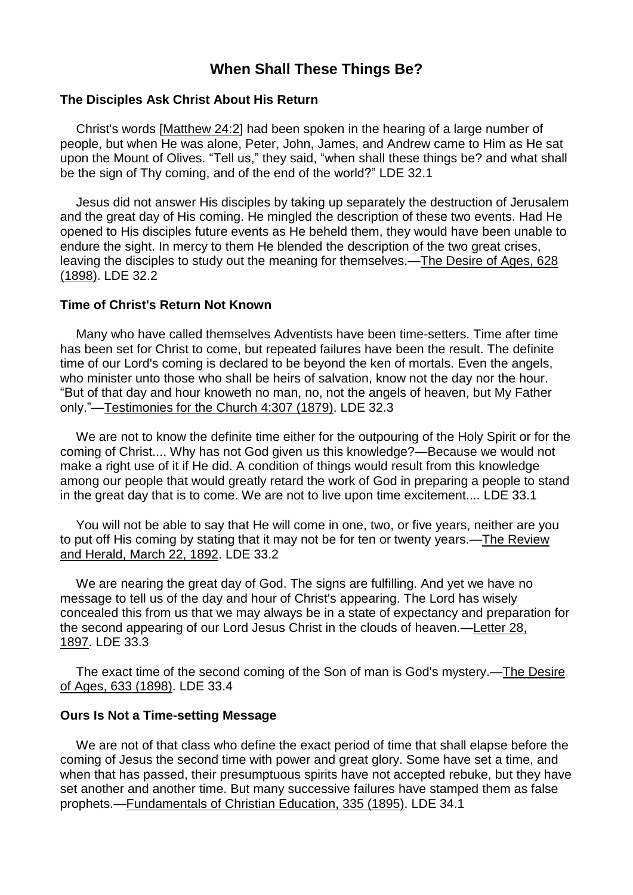# **When Shall These Things Be?**

### **The Disciples Ask Christ About His Return**

Christ's words [\[Matthew](https://m.egwwritings.org/en/book/1965.48914#48914) 24:2] had been spoken in the hearing of a large number of people, but when He was alone, Peter, John, James, and Andrew came to Him as He sat upon the Mount of Olives. "Tell us," they said, "when shall these things be? and what shall be the sign of Thy coming, and of the end of the world?" LDE 32.1

Jesus did not answer His disciples by taking up separately the destruction of Jerusalem and the great day of His coming. He mingled the description of these two events. Had He opened to His disciples future events as He beheld them, they would have been unable to endure the sight. In mercy to them He blended the description of the two great crises, leaving the disciples to study out the meaning for themselves.—The [Desire](https://m.egwwritings.org/en/book/130.3086#3086) of Ages, 628 [\(1898\).](https://m.egwwritings.org/en/book/130.3086#3086) LDE 32.2

#### **Time of Christ's Return Not Known**

Many who have called themselves Adventists have been time-setters. Time after time has been set for Christ to come, but repeated failures have been the result. The definite time of our Lord's coming is declared to be beyond the ken of mortals. Even the angels, who minister unto those who shall be heirs of salvation, know not the day nor the hour. "But of that day and hour knoweth no man, no, not the angels of heaven, but My Father only."[—Testimonies](https://m.egwwritings.org/en/book/114.1566#1566) for the Church 4:307 (1879). LDE 32.3

We are not to know the definite time either for the outpouring of the Holy Spirit or for the coming of Christ.... Why has not God given us this knowledge?—Because we would not make a right use of it if He did. A condition of things would result from this knowledge among our people that would greatly retard the work of God in preparing a people to stand in the great day that is to come. We are not to live upon time excitement.... LDE 33.1

You will not be able to say that He will come in one, two, or five years, neither are you to put off His coming by stating that it may not be for ten or twenty years.—The [Review](https://m.egwwritings.org/en/book/821.11800#11800) and [Herald,](https://m.egwwritings.org/en/book/821.11800#11800) March 22, 1892. LDE 33.2

We are nearing the great day of God. The signs are fulfilling. And yet we have no message to tell us of the day and hour of Christ's appearing. The Lord has wisely concealed this from us that we may always be in a state of expectancy and preparation for the second appearing of our Lord Jesus Christ in the clouds of heaven.[—Letter](https://m.egwwritings.org/en/book/14062.4941001#4941001) 28, [1897.](https://m.egwwritings.org/en/book/14062.4941001#4941001) LDE 33.3

The exact time of the second coming of the Son of man is God's mystery.—The [Desire](https://m.egwwritings.org/en/book/130.3110#3110) of Ages, 633 [\(1898\).](https://m.egwwritings.org/en/book/130.3110#3110) LDE 33.4

#### **Ours Is Not a Time-setting Message**

We are not of that class who define the exact period of time that shall elapse before the coming of Jesus the second time with power and great glory. Some have set a time, and when that has passed, their presumptuous spirits have not accepted rebuke, but they have set another and another time. But many successive failures have stamped them as false prophets.[—Fundamentals](https://m.egwwritings.org/en/book/32.1346#1346) of Christian Education, 335 (1895). LDE 34.1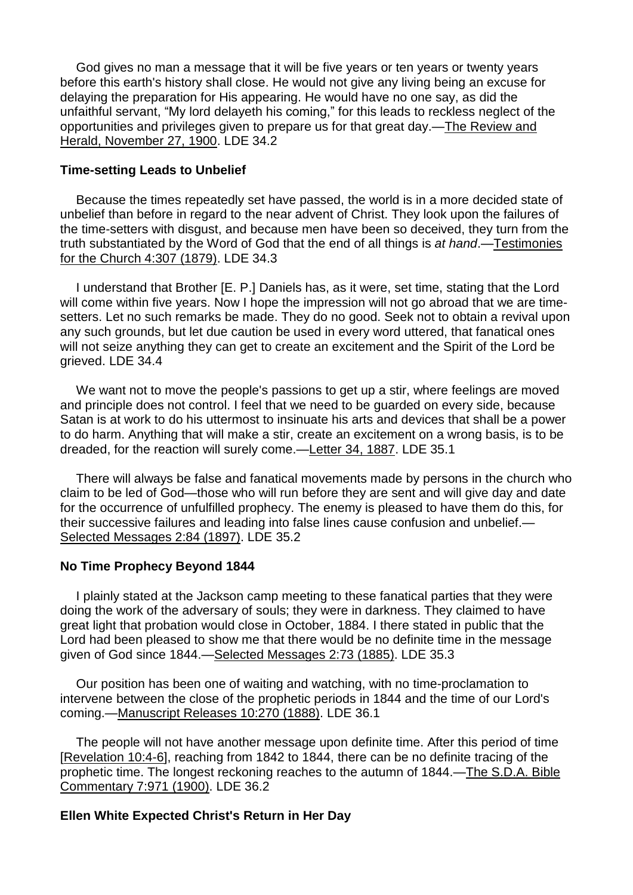God gives no man a message that it will be five years or ten years or twenty years before this earth's history shall close. He would not give any living being an excuse for delaying the preparation for His appearing. He would have no one say, as did the unfaithful servant, "My lord delayeth his coming," for this leads to reckless neglect of the opportunities and privileges given to prepare us for that great day.—The [Review](https://m.egwwritings.org/en/book/821.19819#19819) and Herald, [November](https://m.egwwritings.org/en/book/821.19819#19819) 27, 1900. LDE 34.2

## **Time-setting Leads to Unbelief**

Because the times repeatedly set have passed, the world is in a more decided state of unbelief than before in regard to the near advent of Christ. They look upon the failures of the time-setters with disgust, and because men have been so deceived, they turn from the truth substantiated by the Word of God that the end of all things is *at hand*.[—Testimonies](https://m.egwwritings.org/en/book/114.1566#1566) for the [Church](https://m.egwwritings.org/en/book/114.1566#1566) 4:307 (1879). LDE 34.3

I understand that Brother [E. P.] Daniels has, as it were, set time, stating that the Lord will come within five years. Now I hope the impression will not go abroad that we are timesetters. Let no such remarks be made. They do no good. Seek not to obtain a revival upon any such grounds, but let due caution be used in every word uttered, that fanatical ones will not seize anything they can get to create an excitement and the Spirit of the Lord be grieved. LDE 34.4

We want not to move the people's passions to get up a stir, where feelings are moved and principle does not control. I feel that we need to be guarded on every side, because Satan is at work to do his uttermost to insinuate his arts and devices that shall be a power to do harm. Anything that will make a stir, create an excitement on a wrong basis, is to be dreaded, for the reaction will surely come.[—Letter](https://m.egwwritings.org/en/book/14055.3879001#3879001) 34, 1887. LDE 35.1

There will always be false and fanatical movements made by persons in the church who claim to be led of God—those who will run before they are sent and will give day and date for the occurrence of unfulfilled prophecy. The enemy is pleased to have them do this, for their successive failures and leading into false lines cause confusion and unbelief.— Selected [Messages](https://m.egwwritings.org/en/book/99.477#477) 2:84 (1897). LDE 35.2

# **No Time Prophecy Beyond 1844**

I plainly stated at the Jackson camp meeting to these fanatical parties that they were doing the work of the adversary of souls; they were in darkness. They claimed to have great light that probation would close in October, 1884. I there stated in public that the Lord had been pleased to show me that there would be no definite time in the message given of God since 1844.—Selected [Messages](https://m.egwwritings.org/en/book/99.408#408) 2:73 (1885). LDE 35.3

Our position has been one of waiting and watching, with no time-proclamation to intervene between the close of the prophetic periods in 1844 and the time of our Lord's coming.[—Manuscript](https://m.egwwritings.org/en/book/66.1307#1307) Releases 10:270 (1888). LDE 36.1

The people will not have another message upon definite time. After this period of time [\[Revelation](https://m.egwwritings.org/en/book/1965.62976#62976) 10:4-6], reaching from 1842 to 1844, there can be no definite tracing of the prophetic time. The longest reckoning reaches to the autumn of 1844.—The [S.D.A.](https://m.egwwritings.org/en/book/96.928#928) Bible [Commentary](https://m.egwwritings.org/en/book/96.928#928) 7:971 (1900). LDE 36.2

# **Ellen White Expected Christ's Return in Her Day**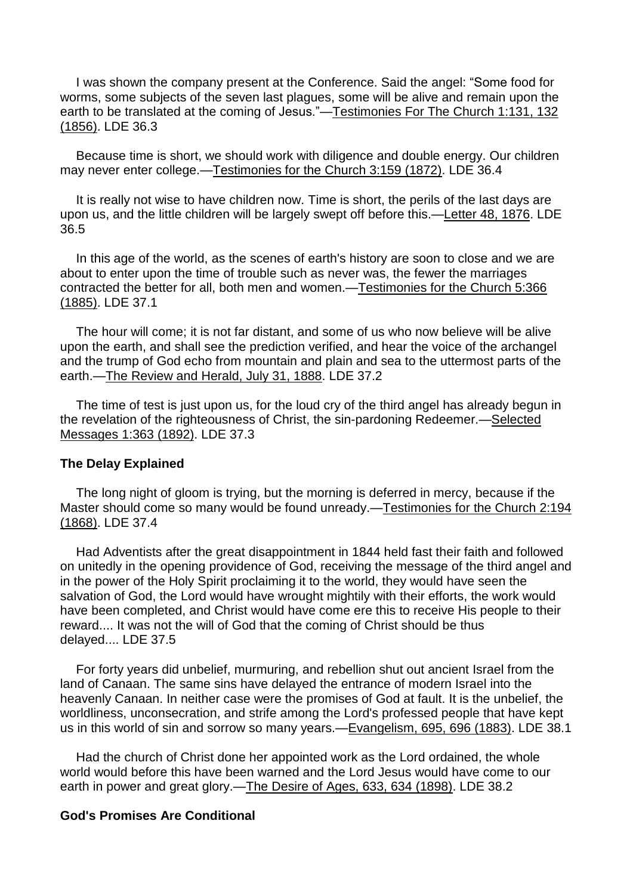I was shown the company present at the Conference. Said the angel: "Some food for worms, some subjects of the seven last plagues, some will be alive and remain upon the earth to be translated at the coming of Jesus."[—Testimonies](https://m.egwwritings.org/en/book/116.668#668) For The Church 1:131, 132 [\(1856\).](https://m.egwwritings.org/en/book/116.668#668) LDE 36.3

Because time is short, we should work with diligence and double energy. Our children may never enter college.[—Testimonies](https://m.egwwritings.org/en/book/119.734#734) for the Church 3:159 (1872). LDE 36.4

It is really not wise to have children now. Time is short, the perils of the last days are upon us, and the little children will be largely swept off before this.[—Letter](https://m.egwwritings.org/en/book/14053.3300001#3300001) 48, 1876. LDE 36.5

In this age of the world, as the scenes of earth's history are soon to close and we are about to enter upon the time of trouble such as never was, the fewer the marriages contracted the better for all, both men and women.[—Testimonies](https://m.egwwritings.org/en/book/113.1838#1838) for the Church 5:366 [\(1885\).](https://m.egwwritings.org/en/book/113.1838#1838) LDE 37.1

The hour will come; it is not far distant, and some of us who now believe will be alive upon the earth, and shall see the prediction verified, and hear the voice of the archangel and the trump of God echo from mountain and plain and sea to the uttermost parts of the earth.—The [Review](https://m.egwwritings.org/en/book/821.9045#9045) and Herald, July 31, 1888. LDE 37.2

The time of test is just upon us, for the loud cry of the third angel has already begun in the revelation of the righteousness of Christ, the sin-pardoning Redeemer.[—Selected](https://m.egwwritings.org/en/book/98.2088#2088) [Messages](https://m.egwwritings.org/en/book/98.2088#2088) 1:363 (1892). LDE 37.3

## **The Delay Explained**

The long night of gloom is trying, but the morning is deferred in mercy, because if the Master should come so many would be found unready.[—Testimonies](https://m.egwwritings.org/en/book/120.811#811) for the Church 2:194 [\(1868\).](https://m.egwwritings.org/en/book/120.811#811) LDE 37.4

Had Adventists after the great disappointment in 1844 held fast their faith and followed on unitedly in the opening providence of God, receiving the message of the third angel and in the power of the Holy Spirit proclaiming it to the world, they would have seen the salvation of God, the Lord would have wrought mightily with their efforts, the work would have been completed, and Christ would have come ere this to receive His people to their reward.... It was not the will of God that the coming of Christ should be thus delayed.... LDE 37.5

For forty years did unbelief, murmuring, and rebellion shut out ancient Israel from the land of Canaan. The same sins have delayed the entrance of modern Israel into the heavenly Canaan. In neither case were the promises of God at fault. It is the unbelief, the worldliness, unconsecration, and strife among the Lord's professed people that have kept us in this world of sin and sorrow so many years.[—Evangelism,](https://m.egwwritings.org/en/book/30.3854#3854) 695, 696 (1883). LDE 38.1

Had the church of Christ done her appointed work as the Lord ordained, the whole world would before this have been warned and the Lord Jesus would have come to our earth in power and great glory.—The Desire of Ages, 633, 634 [\(1898\).](https://m.egwwritings.org/en/book/130.3110#3110) LDE 38.2

# **God's Promises Are Conditional**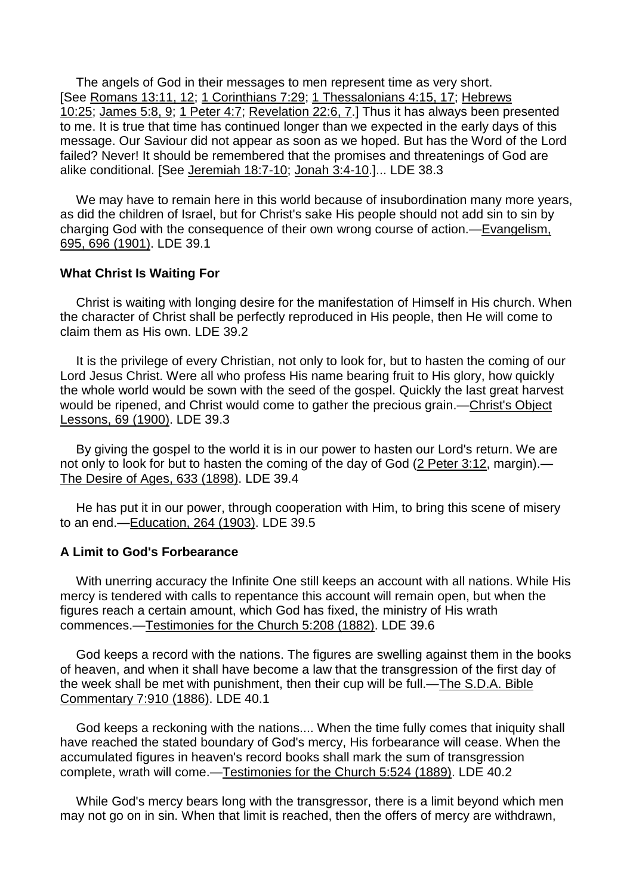The angels of God in their messages to men represent time as very short. [See [Romans](https://m.egwwritings.org/en/book/1965.57661#57661) 13:11, 12; 1 [Corinthians](https://m.egwwritings.org/en/book/1965.58150#58150) 7:29; 1 [Thessalonians](https://m.egwwritings.org/en/book/1965.60406#60406) 4:15, 17; [Hebrews](https://m.egwwritings.org/en/book/1965.61520#61520) [10:25;](https://m.egwwritings.org/en/book/1965.61520#61520) [James](https://m.egwwritings.org/en/book/1965.61937#61937) 5:8, 9; 1 [Peter](https://m.egwwritings.org/en/book/1965.62124#62124) 4:7; [Revelation](https://m.egwwritings.org/en/book/1965.63430#63430) 22:6, 7.] Thus it has always been presented to me. It is true that time has continued longer than we expected in the early days of this message. Our Saviour did not appear as soon as we hoped. But has the Word of the Lord failed? Never! It should be remembered that the promises and threatenings of God are alike conditional. [See [Jeremiah](https://m.egwwritings.org/en/book/1965.39572#39572) 18:7-10; Jonah [3:4-10.](https://m.egwwritings.org/en/book/1965.46051#46051)]... LDE 38.3

We may have to remain here in this world because of insubordination many more years, as did the children of Israel, but for Christ's sake His people should not add sin to sin by charging God with the consequence of their own wrong course of action.[—Evangelism,](https://m.egwwritings.org/en/book/30.3854#3854) 695, 696 [\(1901\).](https://m.egwwritings.org/en/book/30.3854#3854) LDE 39.1

## **What Christ Is Waiting For**

Christ is waiting with longing desire for the manifestation of Himself in His church. When the character of Christ shall be perfectly reproduced in His people, then He will come to claim them as His own. LDE 39.2

It is the privilege of every Christian, not only to look for, but to hasten the coming of our Lord Jesus Christ. Were all who profess His name bearing fruit to His glory, how quickly the whole world would be sown with the seed of the gospel. Quickly the last great harvest would be ripened, and Christ would come to gather the precious grain.[—Christ's](https://m.egwwritings.org/en/book/15.251#251) Object [Lessons,](https://m.egwwritings.org/en/book/15.251#251) 69 (1900). LDE 39.3

By giving the gospel to the world it is in our power to hasten our Lord's return. We are not only to look for but to hasten the coming of the day of God (2 [Peter](https://m.egwwritings.org/en/book/1965.62291#62291) 3:12, margin).— The Desire of Ages, 633 [\(1898\).](https://m.egwwritings.org/en/book/130.3110#3110) LDE 39.4

He has put it in our power, through cooperation with Him, to bring this scene of misery to an end.[—Education,](https://m.egwwritings.org/en/book/29.1396#1396) 264 (1903). LDE 39.5

### **A Limit to God's Forbearance**

With unerring accuracy the Infinite One still keeps an account with all nations. While His mercy is tendered with calls to repentance this account will remain open, but when the figures reach a certain amount, which God has fixed, the ministry of His wrath commences.[—Testimonies](https://m.egwwritings.org/en/book/113.1068#1068) for the Church 5:208 (1882). LDE 39.6

God keeps a record with the nations. The figures are swelling against them in the books of heaven, and when it shall have become a law that the transgression of the first day of the week shall be met with punishment, then their cup will be full.—The [S.D.A.](https://m.egwwritings.org/en/book/96.127#127) Bible [Commentary](https://m.egwwritings.org/en/book/96.127#127) 7:910 (1886). LDE 40.1

God keeps a reckoning with the nations.... When the time fully comes that iniquity shall have reached the stated boundary of God's mercy, His forbearance will cease. When the accumulated figures in heaven's record books shall mark the sum of transgression complete, wrath will come.[—Testimonies](https://m.egwwritings.org/en/book/113.2563#2563) for the Church 5:524 (1889). LDE 40.2

While God's mercy bears long with the transgressor, there is a limit beyond which men may not go on in sin. When that limit is reached, then the offers of mercy are withdrawn,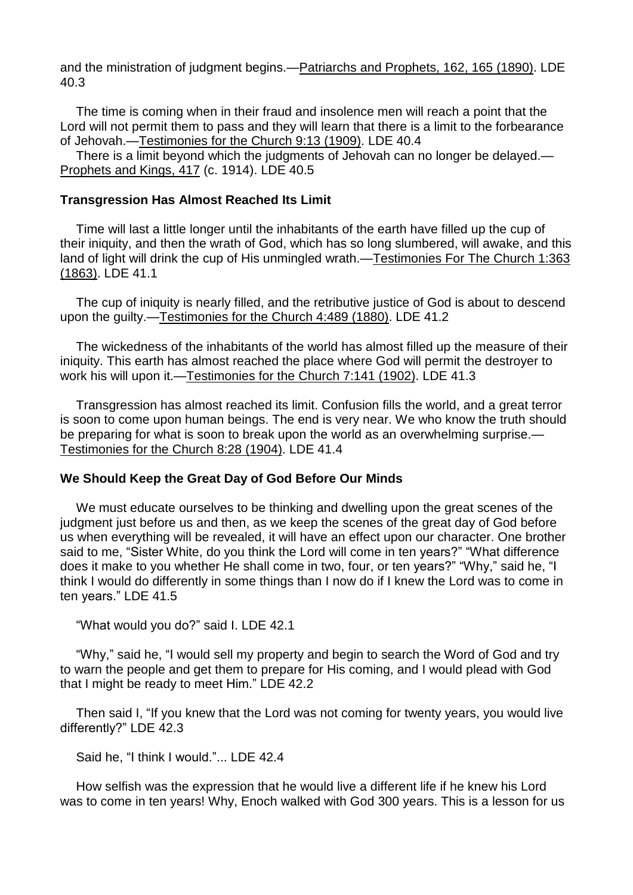and the ministration of judgment begins.[—Patriarchs](https://m.egwwritings.org/en/book/84.661#661) and Prophets, 162, 165 (1890). LDE 40.3

The time is coming when in their fraud and insolence men will reach a point that the Lord will not permit them to pass and they will learn that there is a limit to the forbearance of Jehovah.[—Testimonies](https://m.egwwritings.org/en/book/115.63#63) for the Church 9:13 (1909). LDE 40.4

There is a limit beyond which the judgments of Jehovah can no longer be delayed.— [Prophets](https://m.egwwritings.org/en/book/88.1866#1866) and Kings, 417 (c. 1914). LDE 40.5

#### **Transgression Has Almost Reached Its Limit**

Time will last a little longer until the inhabitants of the earth have filled up the cup of their iniquity, and then the wrath of God, which has so long slumbered, will awake, and this land of light will drink the cup of His unmingled wrath.[—Testimonies](https://m.egwwritings.org/en/book/116.1743#1743) For The Church 1:363 [\(1863\).](https://m.egwwritings.org/en/book/116.1743#1743) LDE 41.1

The cup of iniquity is nearly filled, and the retributive justice of God is about to descend upon the guilty.[—Testimonies](https://m.egwwritings.org/en/book/114.2403#2403) for the Church 4:489 (1880). LDE 41.2

The wickedness of the inhabitants of the world has almost filled up the measure of their iniquity. This earth has almost reached the place where God will permit the destroyer to work his will upon it.[—Testimonies](https://m.egwwritings.org/en/book/117.762#762) for the Church 7:141 (1902). LDE 41.3

Transgression has almost reached its limit. Confusion fills the world, and a great terror is soon to come upon human beings. The end is very near. We who know the truth should be preparing for what is soon to break upon the world as an overwhelming surprise.— [Testimonies](https://m.egwwritings.org/en/book/112.151#151) for the Church 8:28 (1904). LDE 41.4

#### **We Should Keep the Great Day of God Before Our Minds**

We must educate ourselves to be thinking and dwelling upon the great scenes of the judgment just before us and then, as we keep the scenes of the great day of God before us when everything will be revealed, it will have an effect upon our character. One brother said to me, "Sister White, do you think the Lord will come in ten years?" "What difference does it make to you whether He shall come in two, four, or ten years?" "Why," said he, "I think I would do differently in some things than I now do if I knew the Lord was to come in ten years." LDE 41.5

"What would you do?" said I. LDE 42.1

"Why," said he, "I would sell my property and begin to search the Word of God and try to warn the people and get them to prepare for His coming, and I would plead with God that I might be ready to meet Him." LDE 42.2

Then said I, "If you knew that the Lord was not coming for twenty years, you would live differently?" LDE 42.3

Said he, "I think I would."... LDE 42.4

How selfish was the expression that he would live a different life if he knew his Lord was to come in ten years! Why, Enoch walked with God 300 years. This is a lesson for us